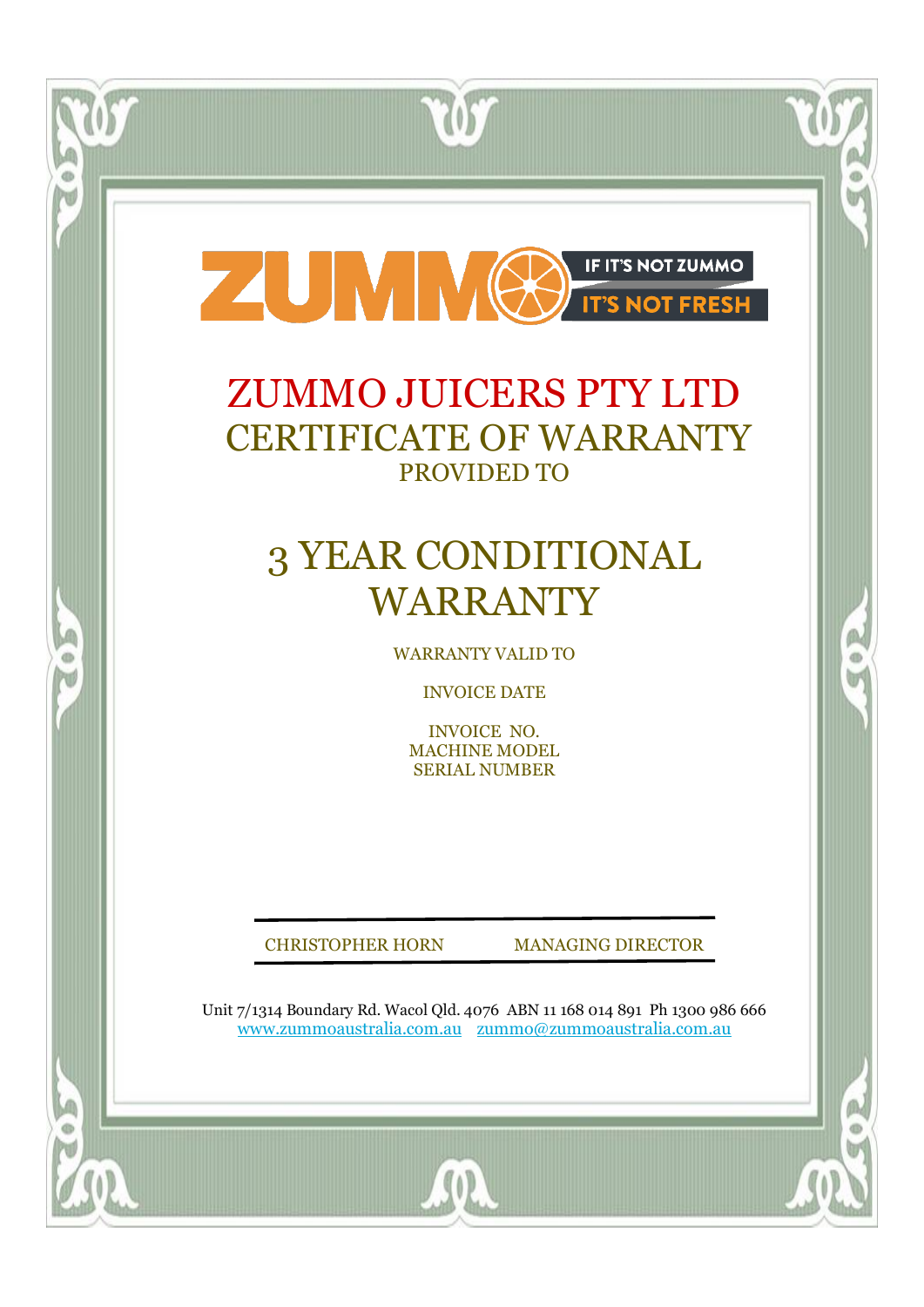